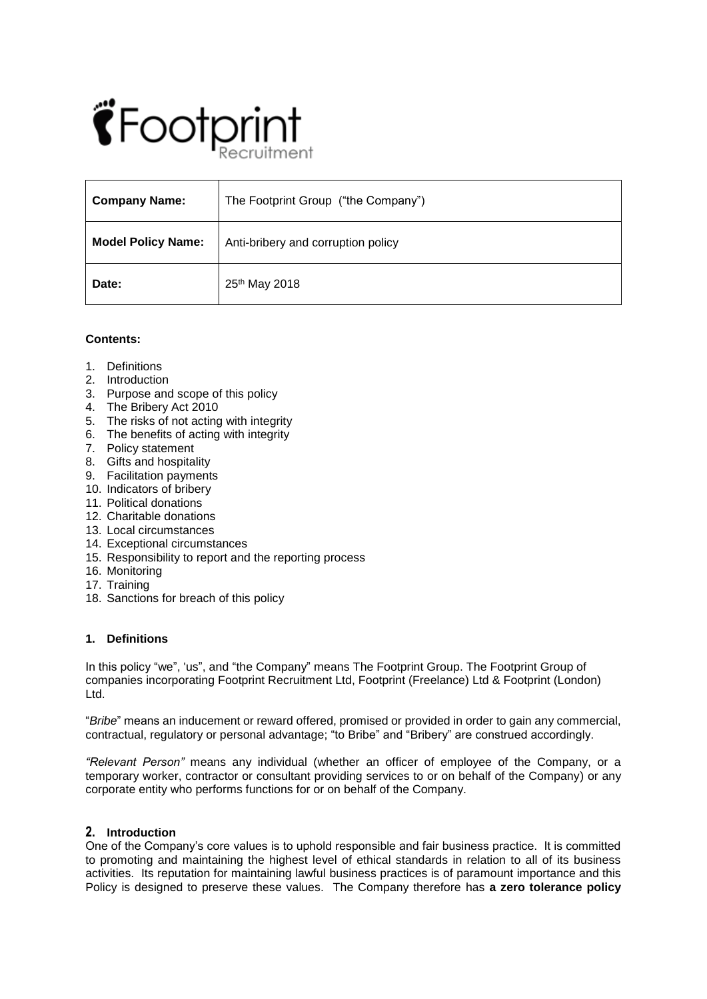# $\ddot{\mathbf{C}}$  Footpi

| <b>Company Name:</b>      | The Footprint Group ("the Company") |
|---------------------------|-------------------------------------|
| <b>Model Policy Name:</b> | Anti-bribery and corruption policy  |
| Date:                     | 25 <sup>th</sup> May 2018           |

# **Contents:**

- 1. Definitions
- 2. Introduction
- 3. Purpose and scope of this policy
- 4. The Bribery Act 2010
- 5. The risks of not acting with integrity
- 6. The benefits of acting with integrity
- 7. Policy statement
- 8. Gifts and hospitality
- 9. Facilitation payments
- 10. Indicators of bribery
- 11. Political donations
- 12. Charitable donations
- 13. Local circumstances
- 14. Exceptional circumstances
- 15. Responsibility to report and the reporting process
- 16. Monitoring
- 17. Training
- 18. Sanctions for breach of this policy

#### **1. Definitions**

In this policy "we", 'us", and "the Company" means The Footprint Group. The Footprint Group of companies incorporating Footprint Recruitment Ltd, Footprint (Freelance) Ltd & Footprint (London) Ltd.

"*Bribe*" means an inducement or reward offered, promised or provided in order to gain any commercial, contractual, regulatory or personal advantage; "to Bribe" and "Bribery" are construed accordingly.

*"Relevant Person"* means any individual (whether an officer of employee of the Company, or a temporary worker, contractor or consultant providing services to or on behalf of the Company) or any corporate entity who performs functions for or on behalf of the Company.

# **2. Introduction**

One of the Company's core values is to uphold responsible and fair business practice. It is committed to promoting and maintaining the highest level of ethical standards in relation to all of its business activities. Its reputation for maintaining lawful business practices is of paramount importance and this Policy is designed to preserve these values. The Company therefore has **a zero tolerance policy**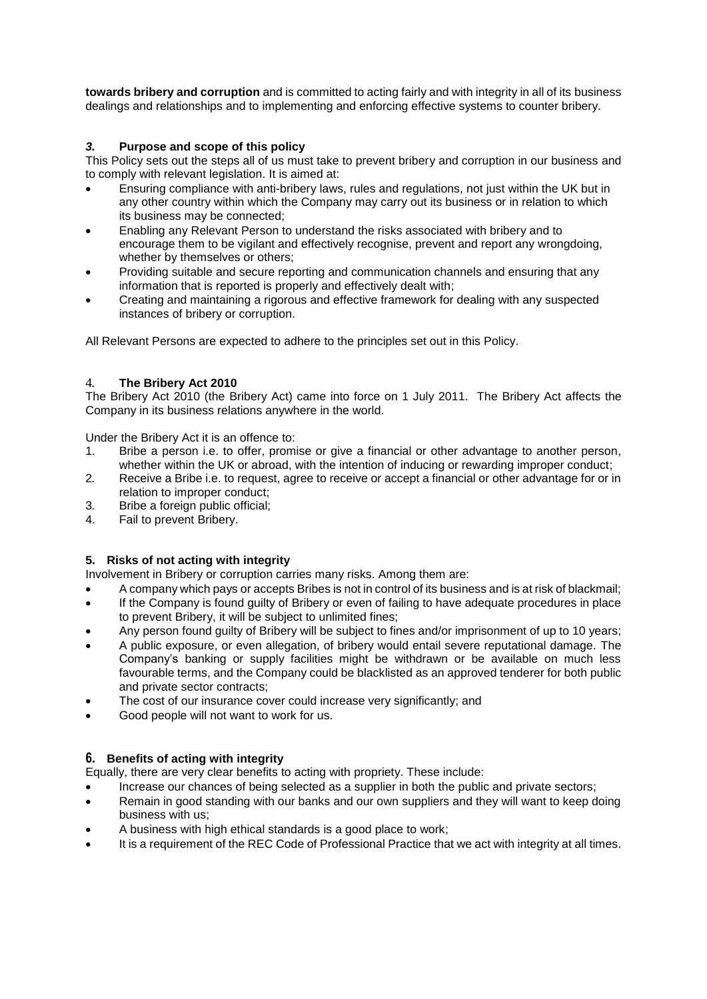**towards bribery and corruption** and is committed to acting fairly and with integrity in all of its business dealings and relationships and to implementing and enforcing effective systems to counter bribery.

# *3.* **Purpose and scope of this policy**

This Policy sets out the steps all of us must take to prevent bribery and corruption in our business and to comply with relevant legislation. It is aimed at:

- Ensuring compliance with anti-bribery laws, rules and regulations, not just within the UK but in any other country within which the Company may carry out its business or in relation to which its business may be connected;
- Enabling any Relevant Person to understand the risks associated with bribery and to encourage them to be vigilant and effectively recognise, prevent and report any wrongdoing, whether by themselves or others;
- Providing suitable and secure reporting and communication channels and ensuring that any information that is reported is properly and effectively dealt with;
- Creating and maintaining a rigorous and effective framework for dealing with any suspected instances of bribery or corruption.

All Relevant Persons are expected to adhere to the principles set out in this Policy.

# 4. **The Bribery Act 2010**

The Bribery Act 2010 (the Bribery Act) came into force on 1 July 2011. The Bribery Act affects the Company in its business relations anywhere in the world.

Under the Bribery Act it is an offence to:

- 1. Bribe a person i.e. to offer, promise or give a financial or other advantage to another person, whether within the UK or abroad, with the intention of inducing or rewarding improper conduct;
- 2. Receive a Bribe i.e. to request, agree to receive or accept a financial or other advantage for or in relation to improper conduct;
- 3. Bribe a foreign public official;
- 4. Fail to prevent Bribery.

# **5. Risks of not acting with integrity**

Involvement in Bribery or corruption carries many risks. Among them are:

- A company which pays or accepts Bribes is not in control of its business and is at risk of blackmail;
- If the Company is found guilty of Bribery or even of failing to have adequate procedures in place to prevent Bribery, it will be subject to unlimited fines;
- Any person found guilty of Bribery will be subject to fines and/or imprisonment of up to 10 years;
- A public exposure, or even allegation, of bribery would entail severe reputational damage. The Company's banking or supply facilities might be withdrawn or be available on much less favourable terms, and the Company could be blacklisted as an approved tenderer for both public and private sector contracts;
- The cost of our insurance cover could increase very significantly; and
- Good people will not want to work for us.

# **6. Benefits of acting with integrity**

Equally, there are very clear benefits to acting with propriety. These include:

- Increase our chances of being selected as a supplier in both the public and private sectors;
- Remain in good standing with our banks and our own suppliers and they will want to keep doing business with us;
- A business with high ethical standards is a good place to work;
- It is a requirement of the REC Code of Professional Practice that we act with integrity at all times.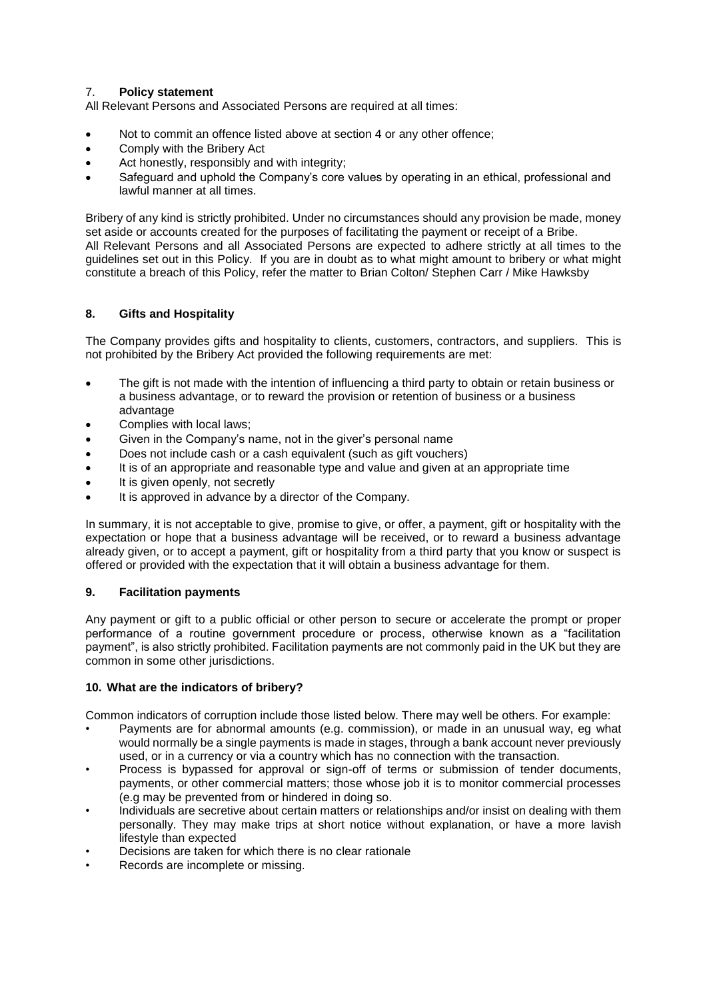# 7. **Policy statement**

All Relevant Persons and Associated Persons are required at all times:

- Not to commit an offence listed above at section 4 or any other offence;
- Comply with the Bribery Act
- Act honestly, responsibly and with integrity;
- Safeguard and uphold the Company's core values by operating in an ethical, professional and lawful manner at all times.

Bribery of any kind is strictly prohibited. Under no circumstances should any provision be made, money set aside or accounts created for the purposes of facilitating the payment or receipt of a Bribe. All Relevant Persons and all Associated Persons are expected to adhere strictly at all times to the guidelines set out in this Policy. If you are in doubt as to what might amount to bribery or what might constitute a breach of this Policy, refer the matter to Brian Colton/ Stephen Carr / Mike Hawksby

## **8. Gifts and Hospitality**

The Company provides gifts and hospitality to clients, customers, contractors, and suppliers. This is not prohibited by the Bribery Act provided the following requirements are met:

- The gift is not made with the intention of influencing a third party to obtain or retain business or a business advantage, or to reward the provision or retention of business or a business advantage
- Complies with local laws;
- Given in the Company's name, not in the giver's personal name
- Does not include cash or a cash equivalent (such as gift vouchers)
- It is of an appropriate and reasonable type and value and given at an appropriate time
- It is given openly, not secretly
- It is approved in advance by a director of the Company.

In summary, it is not acceptable to give, promise to give, or offer, a payment, gift or hospitality with the expectation or hope that a business advantage will be received, or to reward a business advantage already given, or to accept a payment, gift or hospitality from a third party that you know or suspect is offered or provided with the expectation that it will obtain a business advantage for them.

#### **9. Facilitation payments**

Any payment or gift to a public official or other person to secure or accelerate the prompt or proper performance of a routine government procedure or process, otherwise known as a "facilitation payment", is also strictly prohibited. Facilitation payments are not commonly paid in the UK but they are common in some other jurisdictions.

#### **10. What are the indicators of bribery?**

Common indicators of corruption include those listed below. There may well be others. For example:

- Payments are for abnormal amounts (e.g. commission), or made in an unusual way, eg what would normally be a single payments is made in stages, through a bank account never previously used, or in a currency or via a country which has no connection with the transaction.
- Process is bypassed for approval or sign-off of terms or submission of tender documents, payments, or other commercial matters; those whose job it is to monitor commercial processes (e.g may be prevented from or hindered in doing so.
- Individuals are secretive about certain matters or relationships and/or insist on dealing with them personally. They may make trips at short notice without explanation, or have a more lavish lifestyle than expected
- Decisions are taken for which there is no clear rationale
- Records are incomplete or missing.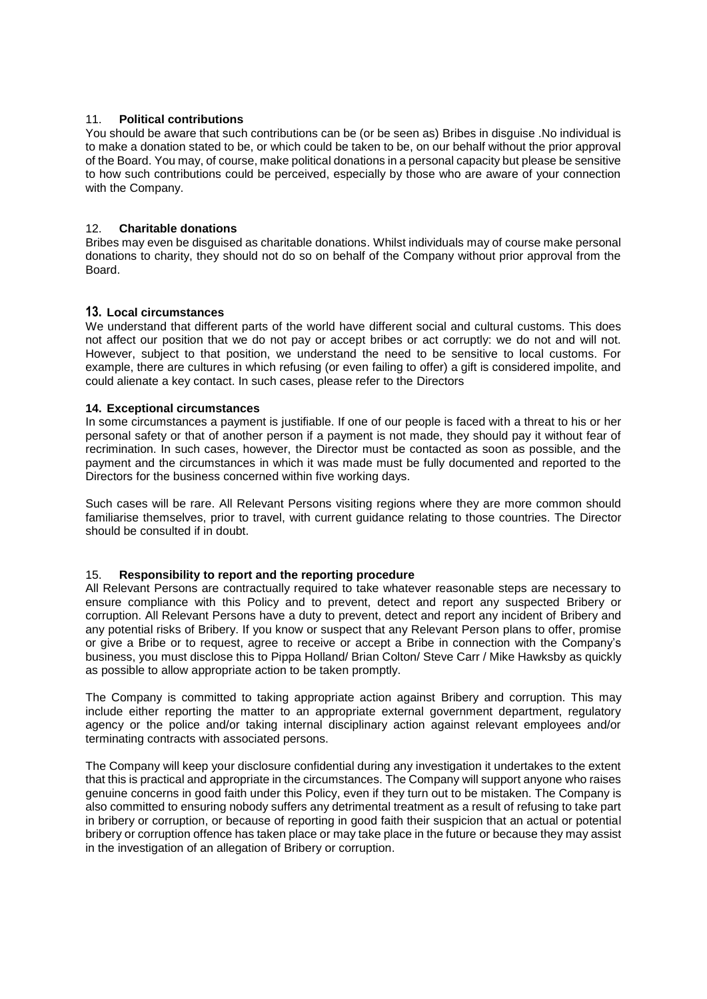## 11. **Political contributions**

You should be aware that such contributions can be (or be seen as) Bribes in disguise .No individual is to make a donation stated to be, or which could be taken to be, on our behalf without the prior approval of the Board. You may, of course, make political donations in a personal capacity but please be sensitive to how such contributions could be perceived, especially by those who are aware of your connection with the Company.

#### 12. **Charitable donations**

Bribes may even be disguised as charitable donations. Whilst individuals may of course make personal donations to charity, they should not do so on behalf of the Company without prior approval from the Board.

## **13. Local circumstances**

We understand that different parts of the world have different social and cultural customs. This does not affect our position that we do not pay or accept bribes or act corruptly: we do not and will not. However, subject to that position, we understand the need to be sensitive to local customs. For example, there are cultures in which refusing (or even failing to offer) a gift is considered impolite, and could alienate a key contact. In such cases, please refer to the Directors

#### **14. Exceptional circumstances**

In some circumstances a payment is justifiable. If one of our people is faced with a threat to his or her personal safety or that of another person if a payment is not made, they should pay it without fear of recrimination. In such cases, however, the Director must be contacted as soon as possible, and the payment and the circumstances in which it was made must be fully documented and reported to the Directors for the business concerned within five working days.

Such cases will be rare. All Relevant Persons visiting regions where they are more common should familiarise themselves, prior to travel, with current guidance relating to those countries. The Director should be consulted if in doubt.

#### 15. **Responsibility to report and the reporting procedure**

All Relevant Persons are contractually required to take whatever reasonable steps are necessary to ensure compliance with this Policy and to prevent, detect and report any suspected Bribery or corruption. All Relevant Persons have a duty to prevent, detect and report any incident of Bribery and any potential risks of Bribery. If you know or suspect that any Relevant Person plans to offer, promise or give a Bribe or to request, agree to receive or accept a Bribe in connection with the Company's business, you must disclose this to Pippa Holland/ Brian Colton/ Steve Carr / Mike Hawksby as quickly as possible to allow appropriate action to be taken promptly.

The Company is committed to taking appropriate action against Bribery and corruption. This may include either reporting the matter to an appropriate external government department, regulatory agency or the police and/or taking internal disciplinary action against relevant employees and/or terminating contracts with associated persons.

The Company will keep your disclosure confidential during any investigation it undertakes to the extent that this is practical and appropriate in the circumstances. The Company will support anyone who raises genuine concerns in good faith under this Policy, even if they turn out to be mistaken. The Company is also committed to ensuring nobody suffers any detrimental treatment as a result of refusing to take part in bribery or corruption, or because of reporting in good faith their suspicion that an actual or potential bribery or corruption offence has taken place or may take place in the future or because they may assist in the investigation of an allegation of Bribery or corruption.